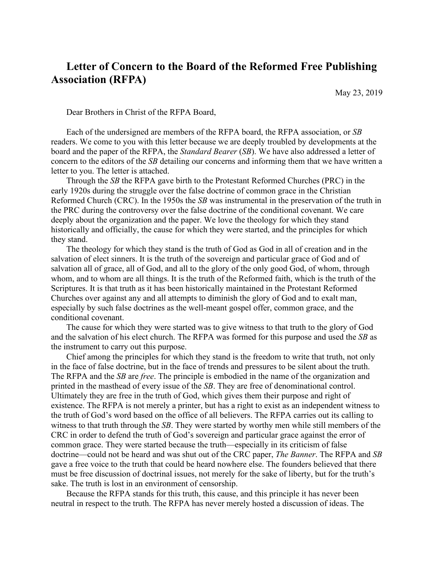# **Letter of Concern to the Board of the Reformed Free Publishing Association (RFPA)**

May 23, 2019

Dear Brothers in Christ of the RFPA Board,

Each of the undersigned are members of the RFPA board, the RFPA association, or *SB*  readers. We come to you with this letter because we are deeply troubled by developments at the board and the paper of the RFPA, the *Standard Bearer* (*SB*). We have also addressed a letter of concern to the editors of the *SB* detailing our concerns and informing them that we have written a letter to you. The letter is attached.

Through the *SB* the RFPA gave birth to the Protestant Reformed Churches (PRC) in the early 1920s during the struggle over the false doctrine of common grace in the Christian Reformed Church (CRC). In the 1950s the *SB* was instrumental in the preservation of the truth in the PRC during the controversy over the false doctrine of the conditional covenant. We care deeply about the organization and the paper. We love the theology for which they stand historically and officially, the cause for which they were started, and the principles for which they stand.

The theology for which they stand is the truth of God as God in all of creation and in the salvation of elect sinners. It is the truth of the sovereign and particular grace of God and of salvation all of grace, all of God, and all to the glory of the only good God, of whom, through whom, and to whom are all things. It is the truth of the Reformed faith, which is the truth of the Scriptures. It is that truth as it has been historically maintained in the Protestant Reformed Churches over against any and all attempts to diminish the glory of God and to exalt man, especially by such false doctrines as the well-meant gospel offer, common grace, and the conditional covenant.

The cause for which they were started was to give witness to that truth to the glory of God and the salvation of his elect church. The RFPA was formed for this purpose and used the *SB* as the instrument to carry out this purpose.

Chief among the principles for which they stand is the freedom to write that truth, not only in the face of false doctrine, but in the face of trends and pressures to be silent about the truth. The RFPA and the *SB* are *free*. The principle is embodied in the name of the organization and printed in the masthead of every issue of the *SB*. They are free of denominational control. Ultimately they are free in the truth of God, which gives them their purpose and right of existence. The RFPA is not merely a printer, but has a right to exist as an independent witness to the truth of God's word based on the office of all believers. The RFPA carries out its calling to witness to that truth through the *SB*. They were started by worthy men while still members of the CRC in order to defend the truth of God's sovereign and particular grace against the error of common grace. They were started because the truth—especially in its criticism of false doctrine—could not be heard and was shut out of the CRC paper, *The Banner*. The RFPA and *SB* gave a free voice to the truth that could be heard nowhere else. The founders believed that there must be free discussion of doctrinal issues, not merely for the sake of liberty, but for the truth's sake. The truth is lost in an environment of censorship.

Because the RFPA stands for this truth, this cause, and this principle it has never been neutral in respect to the truth. The RFPA has never merely hosted a discussion of ideas. The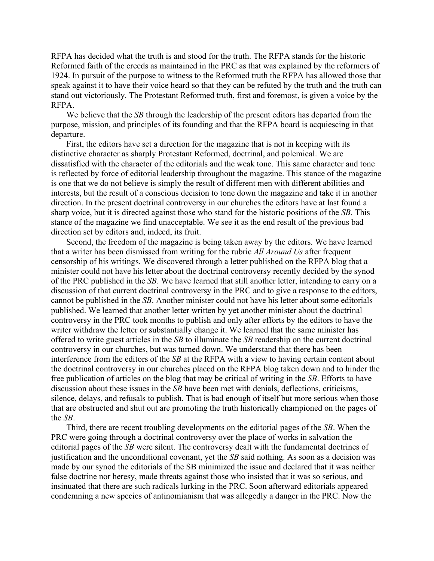RFPA has decided what the truth is and stood for the truth. The RFPA stands for the historic Reformed faith of the creeds as maintained in the PRC as that was explained by the reformers of 1924. In pursuit of the purpose to witness to the Reformed truth the RFPA has allowed those that speak against it to have their voice heard so that they can be refuted by the truth and the truth can stand out victoriously. The Protestant Reformed truth, first and foremost, is given a voice by the RFPA.

We believe that the *SB* through the leadership of the present editors has departed from the purpose, mission, and principles of its founding and that the RFPA board is acquiescing in that departure.

First, the editors have set a direction for the magazine that is not in keeping with its distinctive character as sharply Protestant Reformed, doctrinal, and polemical. We are dissatisfied with the character of the editorials and the weak tone. This same character and tone is reflected by force of editorial leadership throughout the magazine. This stance of the magazine is one that we do not believe is simply the result of different men with different abilities and interests, but the result of a conscious decision to tone down the magazine and take it in another direction. In the present doctrinal controversy in our churches the editors have at last found a sharp voice, but it is directed against those who stand for the historic positions of the *SB.* This stance of the magazine we find unacceptable. We see it as the end result of the previous bad direction set by editors and, indeed, its fruit.

Second, the freedom of the magazine is being taken away by the editors. We have learned that a writer has been dismissed from writing for the rubric *All Around Us* after frequent censorship of his writings. We discovered through a letter published on the RFPA blog that a minister could not have his letter about the doctrinal controversy recently decided by the synod of the PRC published in the *SB*. We have learned that still another letter, intending to carry on a discussion of that current doctrinal controversy in the PRC and to give a response to the editors, cannot be published in the *SB*. Another minister could not have his letter about some editorials published. We learned that another letter written by yet another minister about the doctrinal controversy in the PRC took months to publish and only after efforts by the editors to have the writer withdraw the letter or substantially change it. We learned that the same minister has offered to write guest articles in the *SB* to illuminate the *SB* readership on the current doctrinal controversy in our churches, but was turned down. We understand that there has been interference from the editors of the *SB* at the RFPA with a view to having certain content about the doctrinal controversy in our churches placed on the RFPA blog taken down and to hinder the free publication of articles on the blog that may be critical of writing in the *SB*. Efforts to have discussion about these issues in the *SB* have been met with denials, deflections, criticisms, silence, delays, and refusals to publish. That is bad enough of itself but more serious when those that are obstructed and shut out are promoting the truth historically championed on the pages of the *SB*.

Third, there are recent troubling developments on the editorial pages of the *SB*. When the PRC were going through a doctrinal controversy over the place of works in salvation the editorial pages of the *SB* were silent. The controversy dealt with the fundamental doctrines of justification and the unconditional covenant, yet the *SB* said nothing. As soon as a decision was made by our synod the editorials of the SB minimized the issue and declared that it was neither false doctrine nor heresy, made threats against those who insisted that it was so serious, and insinuated that there are such radicals lurking in the PRC. Soon afterward editorials appeared condemning a new species of antinomianism that was allegedly a danger in the PRC. Now the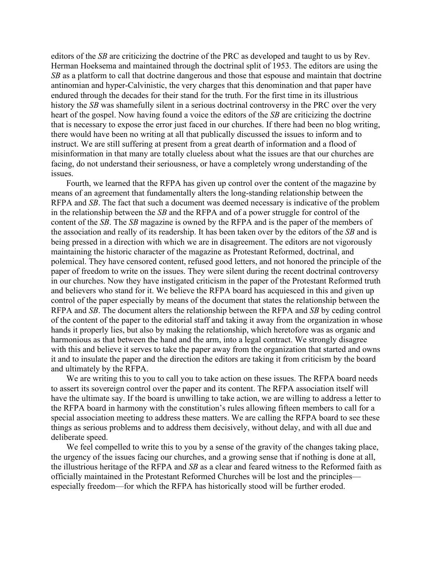editors of the *SB* are criticizing the doctrine of the PRC as developed and taught to us by Rev. Herman Hoeksema and maintained through the doctrinal split of 1953. The editors are using the *SB* as a platform to call that doctrine dangerous and those that espouse and maintain that doctrine antinomian and hyper-Calvinistic, the very charges that this denomination and that paper have endured through the decades for their stand for the truth. For the first time in its illustrious history the *SB* was shamefully silent in a serious doctrinal controversy in the PRC over the very heart of the gospel. Now having found a voice the editors of the *SB* are criticizing the doctrine that is necessary to expose the error just faced in our churches. If there had been no blog writing, there would have been no writing at all that publically discussed the issues to inform and to instruct. We are still suffering at present from a great dearth of information and a flood of misinformation in that many are totally clueless about what the issues are that our churches are facing, do not understand their seriousness, or have a completely wrong understanding of the issues.

Fourth, we learned that the RFPA has given up control over the content of the magazine by means of an agreement that fundamentally alters the long-standing relationship between the RFPA and *SB*. The fact that such a document was deemed necessary is indicative of the problem in the relationship between the *SB* and the RFPA and of a power struggle for control of the content of the *SB*. The *SB* magazine is owned by the RFPA and is the paper of the members of the association and really of its readership. It has been taken over by the editors of the *SB* and is being pressed in a direction with which we are in disagreement. The editors are not vigorously maintaining the historic character of the magazine as Protestant Reformed, doctrinal, and polemical. They have censored content, refused good letters, and not honored the principle of the paper of freedom to write on the issues. They were silent during the recent doctrinal controversy in our churches. Now they have instigated criticism in the paper of the Protestant Reformed truth and believers who stand for it. We believe the RFPA board has acquiesced in this and given up control of the paper especially by means of the document that states the relationship between the RFPA and *SB*. The document alters the relationship between the RFPA and *SB* by ceding control of the content of the paper to the editorial staff and taking it away from the organization in whose hands it properly lies, but also by making the relationship, which heretofore was as organic and harmonious as that between the hand and the arm, into a legal contract. We strongly disagree with this and believe it serves to take the paper away from the organization that started and owns it and to insulate the paper and the direction the editors are taking it from criticism by the board and ultimately by the RFPA.

We are writing this to you to call you to take action on these issues. The RFPA board needs to assert its sovereign control over the paper and its content. The RFPA association itself will have the ultimate say. If the board is unwilling to take action, we are willing to address a letter to the RFPA board in harmony with the constitution's rules allowing fifteen members to call for a special association meeting to address these matters. We are calling the RFPA board to see these things as serious problems and to address them decisively, without delay, and with all due and deliberate speed.

We feel compelled to write this to you by a sense of the gravity of the changes taking place, the urgency of the issues facing our churches, and a growing sense that if nothing is done at all, the illustrious heritage of the RFPA and *SB* as a clear and feared witness to the Reformed faith as officially maintained in the Protestant Reformed Churches will be lost and the principles especially freedom—for which the RFPA has historically stood will be further eroded.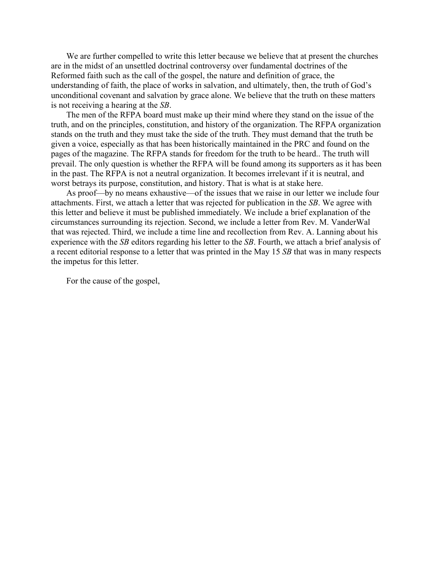We are further compelled to write this letter because we believe that at present the churches are in the midst of an unsettled doctrinal controversy over fundamental doctrines of the Reformed faith such as the call of the gospel, the nature and definition of grace, the understanding of faith, the place of works in salvation, and ultimately, then, the truth of God's unconditional covenant and salvation by grace alone. We believe that the truth on these matters is not receiving a hearing at the *SB*.

The men of the RFPA board must make up their mind where they stand on the issue of the truth, and on the principles, constitution, and history of the organization. The RFPA organization stands on the truth and they must take the side of the truth. They must demand that the truth be given a voice, especially as that has been historically maintained in the PRC and found on the pages of the magazine. The RFPA stands for freedom for the truth to be heard.. The truth will prevail. The only question is whether the RFPA will be found among its supporters as it has been in the past. The RFPA is not a neutral organization. It becomes irrelevant if it is neutral, and worst betrays its purpose, constitution, and history. That is what is at stake here.

As proof—by no means exhaustive—of the issues that we raise in our letter we include four attachments. First, we attach a letter that was rejected for publication in the *SB*. We agree with this letter and believe it must be published immediately. We include a brief explanation of the circumstances surrounding its rejection. Second, we include a letter from Rev. M. VanderWal that was rejected. Third, we include a time line and recollection from Rev. A. Lanning about his experience with the *SB* editors regarding his letter to the *SB*. Fourth, we attach a brief analysis of a recent editorial response to a letter that was printed in the May 15 *SB* that was in many respects the impetus for this letter.

For the cause of the gospel,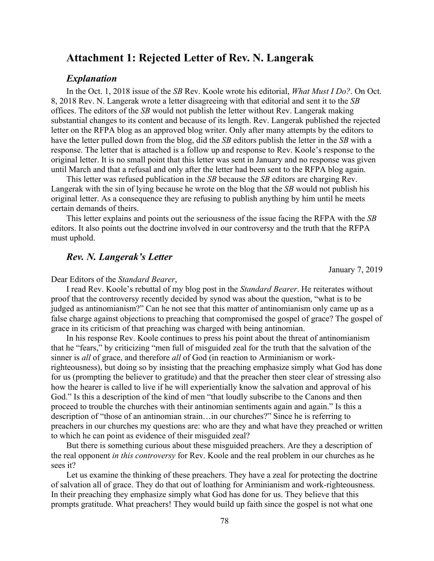### **Attachment 1: Rejected Letter of Rev. N. Langerak**

#### *Explanation*

In the Oct. 1, 2018 issue of the *SB* Rev. Koole wrote his editorial, *What Must I Do?*. On Oct. 8, 2018 Rev. N. Langerak wrote a letter disagreeing with that editorial and sent it to the *SB*  offices. The editors of the *SB* would not publish the letter without Rev. Langerak making substantial changes to its content and because of its length. Rev. Langerak published the rejected letter on the RFPA blog as an approved blog writer. Only after many attempts by the editors to have the letter pulled down from the blog, did the *SB* editors publish the letter in the *SB* with a response. The letter that is attached is a follow up and response to Rev. Koole's response to the original letter. It is no small point that this letter was sent in January and no response was given until March and that a refusal and only after the letter had been sent to the RFPA blog again.

This letter was refused publication in the *SB* because the *SB* editors are charging Rev. Langerak with the sin of lying because he wrote on the blog that the *SB* would not publish his original letter. As a consequence they are refusing to publish anything by him until he meets certain demands of theirs.

This letter explains and points out the seriousness of the issue facing the RFPA with the *SB* editors. It also points out the doctrine involved in our controversy and the truth that the RFPA must uphold.

#### *Rev. N. Langerak's Letter*

January 7, 2019

Dear Editors of the *Standard Bearer*,

I read Rev. Koole's rebuttal of my blog post in the *Standard Bearer*. He reiterates without proof that the controversy recently decided by synod was about the question, "what is to be judged as antinomianism?" Can he not see that this matter of antinomianism only came up as a false charge against objections to preaching that compromised the gospel of grace? The gospel of grace in its criticism of that preaching was charged with being antinomian.

In his response Rev. Koole continues to press his point about the threat of antinomianism that he "fears," by criticizing "men full of misguided zeal for the truth that the salvation of the sinner is *all* of grace, and therefore *all* of God (in reaction to Arminianism or workrighteousness), but doing so by insisting that the preaching emphasize simply what God has done for us (prompting the believer to gratitude) and that the preacher then steer clear of stressing also how the hearer is called to live if he will experientially know the salvation and approval of his God." Is this a description of the kind of men "that loudly subscribe to the Canons and then proceed to trouble the churches with their antinomian sentiments again and again." Is this a description of "those of an antinomian strain…in our churches?" Since he is referring to preachers in our churches my questions are: who are they and what have they preached or written to which he can point as evidence of their misguided zeal?

But there is something curious about these misguided preachers. Are they a description of the real opponent *in this controversy* for Rev. Koole and the real problem in our churches as he sees it?

Let us examine the thinking of these preachers. They have a zeal for protecting the doctrine of salvation all of grace. They do that out of loathing for Arminianism and work-righteousness. In their preaching they emphasize simply what God has done for us. They believe that this prompts gratitude. What preachers! They would build up faith since the gospel is not what one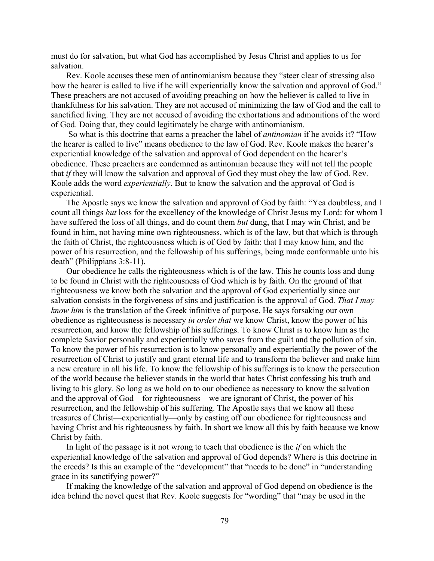must do for salvation, but what God has accomplished by Jesus Christ and applies to us for salvation.

Rev. Koole accuses these men of antinomianism because they "steer clear of stressing also how the hearer is called to live if he will experientially know the salvation and approval of God." These preachers are not accused of avoiding preaching on how the believer is called to live in thankfulness for his salvation. They are not accused of minimizing the law of God and the call to sanctified living. They are not accused of avoiding the exhortations and admonitions of the word of God. Doing that, they could legitimately be charge with antinomianism.

 So what is this doctrine that earns a preacher the label of *antinomian* if he avoids it? "How the hearer is called to live" means obedience to the law of God. Rev. Koole makes the hearer's experiential knowledge of the salvation and approval of God dependent on the hearer's obedience. These preachers are condemned as antinomian because they will not tell the people that *if* they will know the salvation and approval of God they must obey the law of God. Rev. Koole adds the word *experientially*. But to know the salvation and the approval of God is experiential.

The Apostle says we know the salvation and approval of God by faith: "Yea doubtless, and I count all things *but* loss for the excellency of the knowledge of Christ Jesus my Lord: for whom I have suffered the loss of all things, and do count them *but* dung, that I may win Christ, and be found in him, not having mine own righteousness, which is of the law, but that which is through the faith of Christ, the righteousness which is of God by faith: that I may know him, and the power of his resurrection, and the fellowship of his sufferings, being made conformable unto his death" (Philippians 3:8-11).

Our obedience he calls the righteousness which is of the law. This he counts loss and dung to be found in Christ with the righteousness of God which is by faith. On the ground of that righteousness we know both the salvation and the approval of God experientially since our salvation consists in the forgiveness of sins and justification is the approval of God. *That I may know him* is the translation of the Greek infinitive of purpose. He says forsaking our own obedience as righteousness is necessary *in order that* we know Christ, know the power of his resurrection, and know the fellowship of his sufferings. To know Christ is to know him as the complete Savior personally and experientially who saves from the guilt and the pollution of sin. To know the power of his resurrection is to know personally and experientially the power of the resurrection of Christ to justify and grant eternal life and to transform the believer and make him a new creature in all his life. To know the fellowship of his sufferings is to know the persecution of the world because the believer stands in the world that hates Christ confessing his truth and living to his glory. So long as we hold on to our obedience as necessary to know the salvation and the approval of God—for righteousness—we are ignorant of Christ, the power of his resurrection, and the fellowship of his suffering. The Apostle says that we know all these treasures of Christ—experientially—only by casting off our obedience for righteousness and having Christ and his righteousness by faith. In short we know all this by faith because we know Christ by faith.

In light of the passage is it not wrong to teach that obedience is the *if* on which the experiential knowledge of the salvation and approval of God depends? Where is this doctrine in the creeds? Is this an example of the "development" that "needs to be done" in "understanding grace in its sanctifying power?"

If making the knowledge of the salvation and approval of God depend on obedience is the idea behind the novel quest that Rev. Koole suggests for "wording" that "may be used in the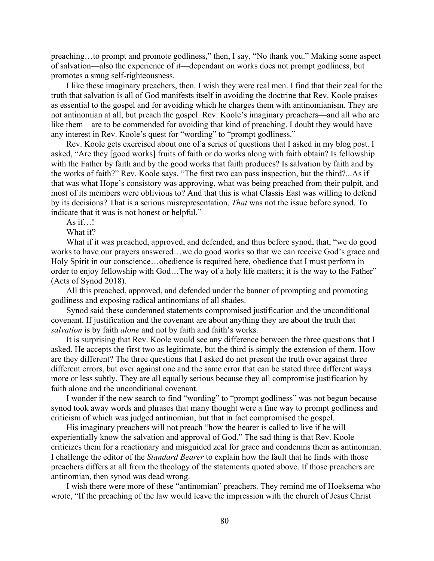preaching…to prompt and promote godliness," then, I say, "No thank you." Making some aspect of salvation—also the experience of it—dependant on works does not prompt godliness, but promotes a smug self-righteousness.

I like these imaginary preachers, then. I wish they were real men. I find that their zeal for the truth that salvation is all of God manifests itself in avoiding the doctrine that Rev. Koole praises as essential to the gospel and for avoiding which he charges them with antinomianism. They are not antinomian at all, but preach the gospel. Rev. Koole's imaginary preachers—and all who are like them—are to be commended for avoiding that kind of preaching. I doubt they would have any interest in Rev. Koole's quest for "wording" to "prompt godliness."

Rev. Koole gets exercised about one of a series of questions that I asked in my blog post. I asked, "Are they [good works] fruits of faith or do works along with faith obtain? Is fellowship with the Father by faith and by the good works that faith produces? Is salvation by faith and by the works of faith?" Rev. Koole says, "The first two can pass inspection, but the third?...As if that was what Hope's consistory was approving, what was being preached from their pulpit, and most of its members were oblivious to? And that this is what Classis East was willing to defend by its decisions? That is a serious misrepresentation. *That* was not the issue before synod. To indicate that it was is not honest or helpful."

As if…!

What if?

What if it was preached, approved, and defended, and thus before synod, that, "we do good works to have our prayers answered…we do good works so that we can receive God's grace and Holy Spirit in our conscience…obedience is required here, obedience that I must perform in order to enjoy fellowship with God…The way of a holy life matters; it is the way to the Father" (Acts of Synod 2018).

All this preached, approved, and defended under the banner of prompting and promoting godliness and exposing radical antinomians of all shades.

Synod said these condemned statements compromised justification and the unconditional covenant. If justification and the covenant are about anything they are about the truth that *salvation* is by faith *alone* and not by faith and faith's works.

It is surprising that Rev. Koole would see any difference between the three questions that I asked. He accepts the first two as legitimate, but the third is simply the extension of them. How are they different? The three questions that I asked do not present the truth over against three different errors, but over against one and the same error that can be stated three different ways more or less subtly. They are all equally serious because they all compromise justification by faith alone and the unconditional covenant.

I wonder if the new search to find "wording" to "prompt godliness" was not begun because synod took away words and phrases that many thought were a fine way to prompt godliness and criticism of which was judged antinomian, but that in fact compromised the gospel.

His imaginary preachers will not preach "how the hearer is called to live if he will experientially know the salvation and approval of God." The sad thing is that Rev. Koole criticizes them for a reactionary and misguided zeal for grace and condemns them as antinomian. I challenge the editor of the *Standard Bearer* to explain how the fault that he finds with those preachers differs at all from the theology of the statements quoted above. If those preachers are antinomian, then synod was dead wrong.

I wish there were more of these "antinomian" preachers. They remind me of Hoeksema who wrote, "If the preaching of the law would leave the impression with the church of Jesus Christ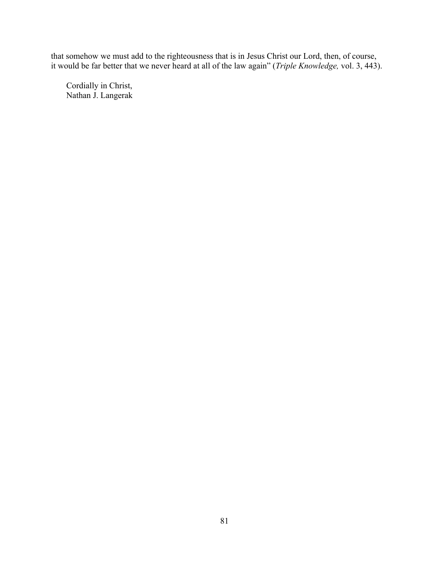that somehow we must add to the righteousness that is in Jesus Christ our Lord, then, of course, it would be far better that we never heard at all of the law again" (*Triple Knowledge,* vol. 3, 443).

Cordially in Christ, Nathan J. Langerak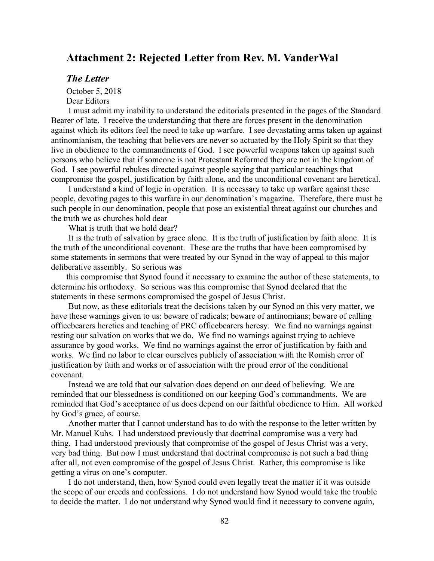## **Attachment 2: Rejected Letter from Rev. M. VanderWal**

#### *The Letter*

October 5, 2018 Dear Editors

 I must admit my inability to understand the editorials presented in the pages of the Standard Bearer of late. I receive the understanding that there are forces present in the denomination against which its editors feel the need to take up warfare. I see devastating arms taken up against antinomianism, the teaching that believers are never so actuated by the Holy Spirit so that they live in obedience to the commandments of God. I see powerful weapons taken up against such persons who believe that if someone is not Protestant Reformed they are not in the kingdom of God. I see powerful rebukes directed against people saying that particular teachings that compromise the gospel, justification by faith alone, and the unconditional covenant are heretical.

 I understand a kind of logic in operation. It is necessary to take up warfare against these people, devoting pages to this warfare in our denomination's magazine. Therefore, there must be such people in our denomination, people that pose an existential threat against our churches and the truth we as churches hold dear

What is truth that we hold dear?

 It is the truth of salvation by grace alone. It is the truth of justification by faith alone. It is the truth of the unconditional covenant. These are the truths that have been compromised by some statements in sermons that were treated by our Synod in the way of appeal to this major deliberative assembly. So serious was

this compromise that Synod found it necessary to examine the author of these statements, to determine his orthodoxy. So serious was this compromise that Synod declared that the statements in these sermons compromised the gospel of Jesus Christ.

 But now, as these editorials treat the decisions taken by our Synod on this very matter, we have these warnings given to us: beware of radicals; beware of antinomians; beware of calling officebearers heretics and teaching of PRC officebearers heresy. We find no warnings against resting our salvation on works that we do. We find no warnings against trying to achieve assurance by good works. We find no warnings against the error of justification by faith and works. We find no labor to clear ourselves publicly of association with the Romish error of justification by faith and works or of association with the proud error of the conditional covenant.

 Instead we are told that our salvation does depend on our deed of believing. We are reminded that our blessedness is conditioned on our keeping God's commandments. We are reminded that God's acceptance of us does depend on our faithful obedience to Him. All worked by God's grace, of course.

 Another matter that I cannot understand has to do with the response to the letter written by Mr. Manuel Kuhs. I had understood previously that doctrinal compromise was a very bad thing. I had understood previously that compromise of the gospel of Jesus Christ was a very, very bad thing. But now I must understand that doctrinal compromise is not such a bad thing after all, not even compromise of the gospel of Jesus Christ. Rather, this compromise is like getting a virus on one's computer.

 I do not understand, then, how Synod could even legally treat the matter if it was outside the scope of our creeds and confessions. I do not understand how Synod would take the trouble to decide the matter. I do not understand why Synod would find it necessary to convene again,